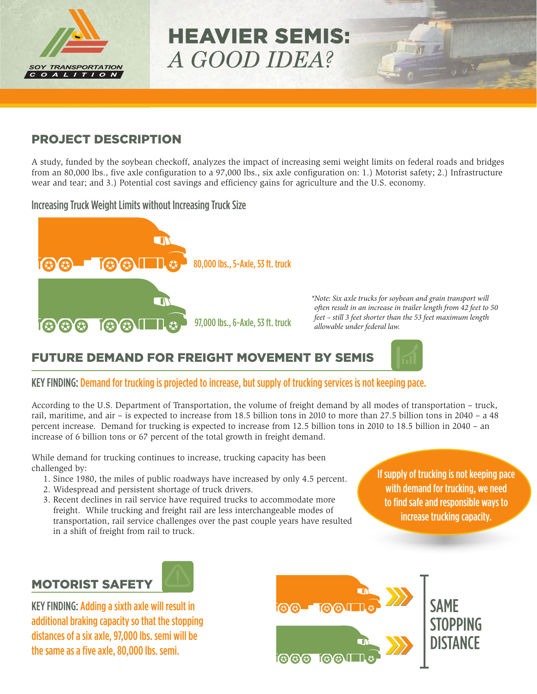

# HEAVIER SEMIS: *A GOOD IDEA?*

#### PROJECT DESCRIPTION

A study, funded by the soybean checkoff, analyzes the impact of increasing semi weight limits on federal roads and bridges from an 80,000 lbs., five axle configuration to a 97,000 lbs., six axle configuration on: 1.) Motorist safety; 2.) Infrastructure wear and tear; and 3.) Potential cost savings and efficiency gains for agriculture and the U.S. economy.

Increasing Truck Weight Limits without Increasing Truck Size



*\* Note: Six axle trucks for soybean and grain transport will often result in an increase in trailer length from 42 feet to 50 feet – still 3 feet shorter than the 53 feet maximum length allowable under federal law.*

## FUTURE DEMAND FOR FREIGHT MOVEMENT BY SEMIS

#### KEY FINDING: Demand for trucking is projected to increase, but supply of trucking services is not keeping pace.

According to the U.S. Department of Transportation, the volume of freight demand by all modes of transportation – truck, rail, maritime, and air – is expected to increase from 18.5 billion tons in 2010 to more than 27.5 billion tons in 2040 – a 48 percent increase. Demand for trucking is expected to increase from 12.5 billion tons in 2010 to 18.5 billion in 2040 – an increase of 6 billion tons or 67 percent of the total growth in freight demand.

While demand for trucking continues to increase, trucking capacity has been challenged by:

- 1. Since 1980, the miles of public roadways have increased by only 4.5 percent.
- 2. Widespread and persistent shortage of truck drivers.
- 3. Recent declines in rail service have required trucks to accommodate more freight. While trucking and freight rail are less interchangeable modes of transportation, rail service challenges over the past couple years have resulted in a shift of freight from rail to truck.

If supply of trucking is not keeping pace with demand for trucking, we need to find safe and responsible ways to increase trucking capacity.

# MOTORIST SAFETY



KEY FINDING: Adding a sixth axle will result in additional braking capacity so that the stopping distances of a six axle, 97,000 lbs. semi will be the same as a five axle, 80,000 lbs. semi.

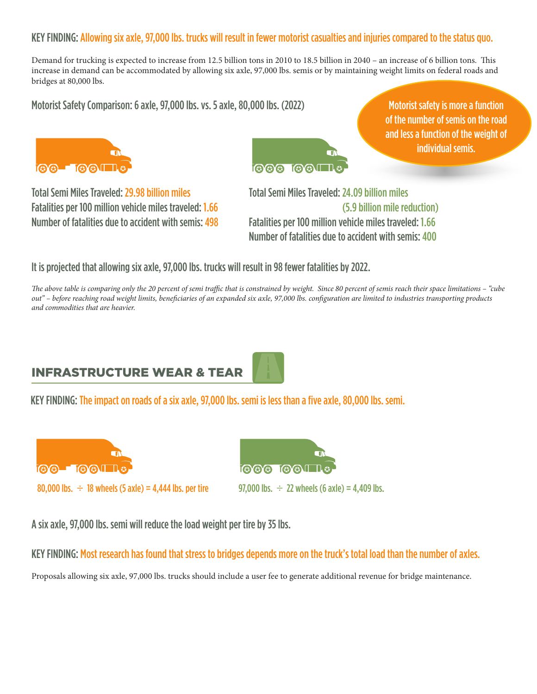#### KEY FINDING: Allowing six axle, 97,000 lbs. trucks will result in fewer motorist casualties and injuries compared to the status quo.

Demand for trucking is expected to increase from 12.5 billion tons in 2010 to 18.5 billion in 2040 – an increase of 6 billion tons. This increase in demand can be accommodated by allowing six axle, 97,000 lbs. semis or by maintaining weight limits on federal roads and bridges at 80,000 lbs.

Motorist Safety Comparison: 6 axle, 97,000 lbs. vs. 5 axle, 80,000 lbs. (2022)





Motorist safety is more a function of the number of semis on the road and less a function of the weight of individual semis.

Total Semi Miles Traveled: 29.98 billion miles Fatalities per 100 million vehicle miles traveled: 1.66 Number of fatalities due to accident with semis: 498 Total Semi Miles Traveled: 24.09 billion miles (5.9 billion mile reduction) Fatalities per 100 million vehicle miles traveled: 1.66 Number of fatalities due to accident with semis: 400

It is projected that allowing six axle, 97,000 lbs. trucks will result in 98 fewer fatalities by 2022.

The above table is comparing only the 20 percent of semi traffic that is constrained by weight. Since 80 percent of semis reach their space limitations – "cube out" - before reaching road weight limits, beneficiaries of an expanded six axle, 97,000 lbs. configuration are limited to industries transporting products *and commodities that are heavier.* 

## INFRASTRUCTURE WEAR & TEAR

KEY FINDING: The impact on roads of a six axle, 97,000 lbs. semi is less than a five axle, 80,000 lbs. semi.





A six axle, 97,000 lbs. semi will reduce the load weight per tire by 35 lbs.

KEY FINDING: Most research has found that stress to bridges depends more on the truck's total load than the number of axles.

Proposals allowing six axle, 97,000 lbs. trucks should include a user fee to generate additional revenue for bridge maintenance.